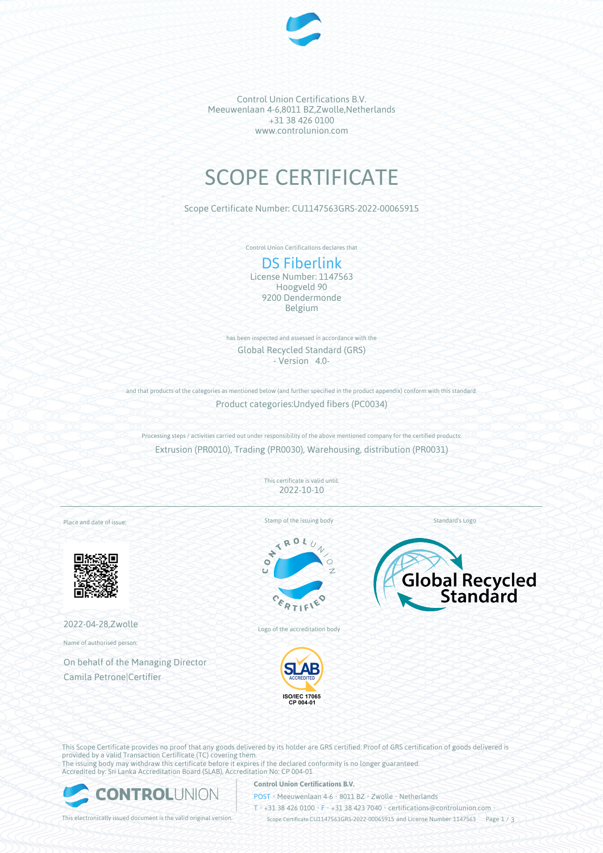

Control Union Certifications B.V. Meeuwenlaan 4-6,8011 BZ,Zwolle,Netherlands +31 38 426 0100 www.controlunion.com

# SCOPE CERTIFICATE

Scope Certificate Number: CU1147563GRS-2022-00065915

Control Union Certifications declares that

# DS Fiberlink

License Number: 1147563 Hoogveld 90 9200 Dendermonde Belgium

has been inspected and assessed in accordance with the Global Recycled Standard (GRS) - Version 4.0-

and that products of the categories as mentioned below (and further specified in the product appendix) conform with this standard. Product categories:Undyed fibers (PC0034)

Processing steps / activities carried out under responsibility of the above mentioned company for the certified products: Extrusion (PR0010), Trading (PR0030), Warehousing, distribution (PR0031)

> This certificate is valid until: 2022-10-10

Place and date of issue:



2022-04-28,Zwolle

Name of authorised person:

On behalf of the Managing Director Camila Petrone|Certifier

Stamp of the issuing body



Logo of the accreditation body



Global Recycled

Standard's Logo

This Scope Certificate provides no proof that any goods delivered by its holder are GRS certified. Proof of GRS certification of goods delivered is provided by a valid Transaction Certificate (TC) covering them. The issuing body may withdraw this certificate before it expires if the declared conformity is no longer guaranteed. Accredited by: Sri Lanka Accreditation Board (SLAB), Accreditation No: CP 004-01



#### **Control Union Certifications B.V.**

POST • Meeuwenlaan 4-6 • 8011 BZ • Zwolle • Netherlands

T • +31 38 426 0100 • F • +31 38 423 7040 • certifications@controlunion.com •

This electronically issued document is the valid original version. Scope Certificate CU1147563GRS-2022-00065915 and License Number 1147563 Page 1 / 3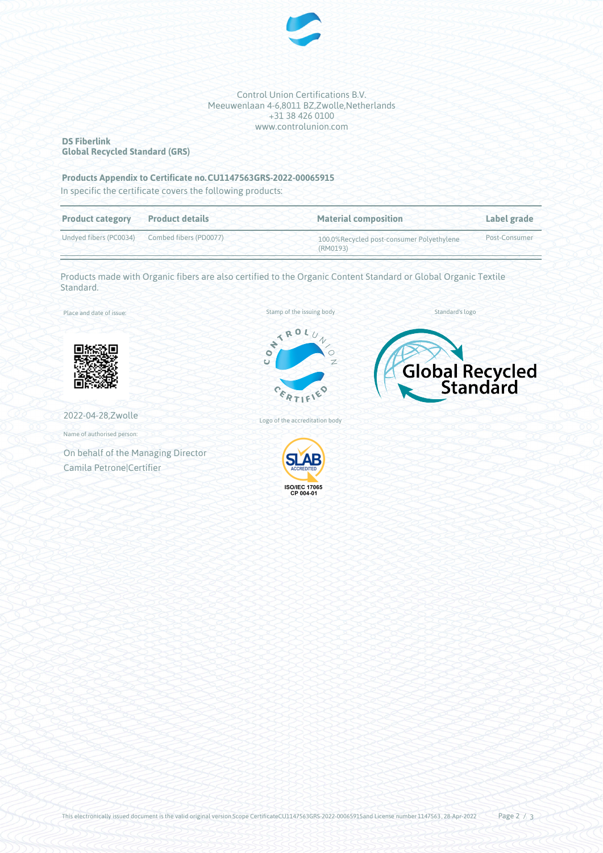

Control Union Certifications B.V. Meeuwenlaan 4-6,8011 BZ,Zwolle,Netherlands +31 38 426 0100 www.controlunion.com

### **DS Fiberlink Global Recycled Standard (GRS)**

#### **Products Appendix to Certificate no.CU1147563GRS-2022-00065915**

In specific the certificate covers the following products:

| <b>Product category</b> | <b>Product details</b> | <b>Material composition</b>                           | Label grade   |
|-------------------------|------------------------|-------------------------------------------------------|---------------|
| Undyed fibers (PC0034)  | Combed fibers (PD0077) | 100.0%Recycled post-consumer Polyethylene<br>(RM0193) | Post-Consumer |

Products made with Organic fibers are also certified to the Organic Content Standard or Global Organic Textile Standard.

Place and date of issue:



2022-04-28,Zwolle

Name of authorised person:

On behalf of the Managing Director Camila Petrone|Certifier







Logo of the accreditation body